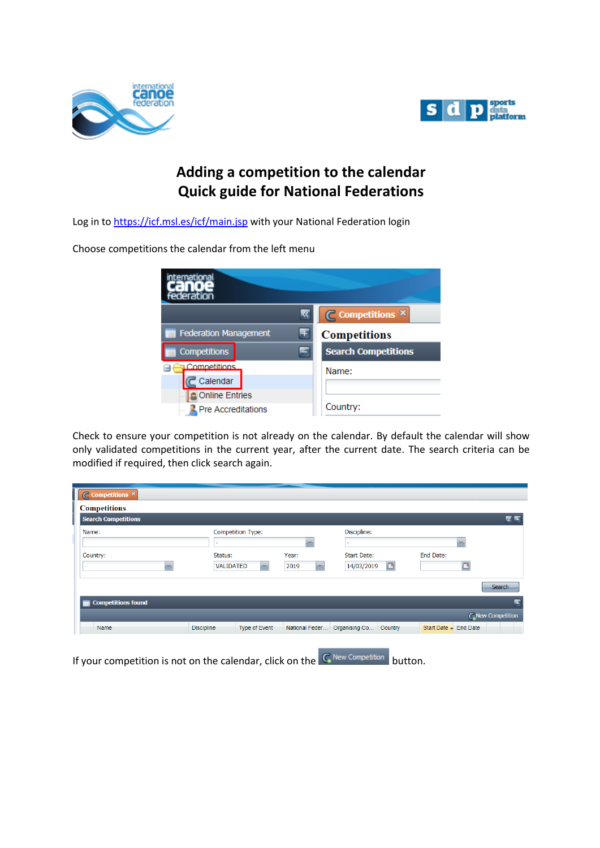



# **Adding a competition to the calendar Quick guide for National Federations**

Log in to<https://icf.msl.es/icf/main.jsp> with your National Federation login

Choose competitions the calendar from the left menu

| ternational<br>Federation       |                            |
|---------------------------------|----------------------------|
|                                 | ◯ Competitions ×           |
| <b>Federation Management</b>    | <b>Competitions</b>        |
| <b>Competitions</b>             | <b>Search Competitions</b> |
| <b>Competitions</b><br>Calendar | Name:                      |
| <b>Online Entries</b>           |                            |
| <b>Pre Accreditations</b>       | Country:                   |

Check to ensure your competition is not already on the calendar. By default the calendar will show only validated competitions in the current year, after the current date. The search criteria can be modified if required, then click search again.

| Competitions <sup>X</sup><br>$\epsilon$ |                                    |                      |                          |                       |
|-----------------------------------------|------------------------------------|----------------------|--------------------------|-----------------------|
| <b>Competitions</b>                     |                                    |                      |                          |                       |
| <b>Search Competitions</b>              |                                    |                      |                          | ■■■                   |
| Name:                                   |                                    | Discipline:          |                          |                       |
|                                         | -                                  | $\mathbf{v}$         |                          | $\mathcal{A}$         |
| Country:                                | Status:                            | Year:                | <b>Start Date:</b>       | End Date:             |
|                                         | <b>VALIDATED</b><br>×              | 2019<br>$\mathbf{v}$ | $\Box$<br>14/03/2019     | $\circ$               |
|                                         |                                    |                      |                          | Search                |
| <b>Competitions found</b>               |                                    |                      |                          | ×                     |
|                                         |                                    |                      |                          | C New Competition     |
| Name                                    | Type of Event<br><b>Discipline</b> | National Feder       | Organising Co<br>Country | Start Date - End Date |
|                                         |                                    |                      |                          |                       |

If your competition is not on the calendar, click on the  $\boxed{\mathsf{C}}$  New Competition button.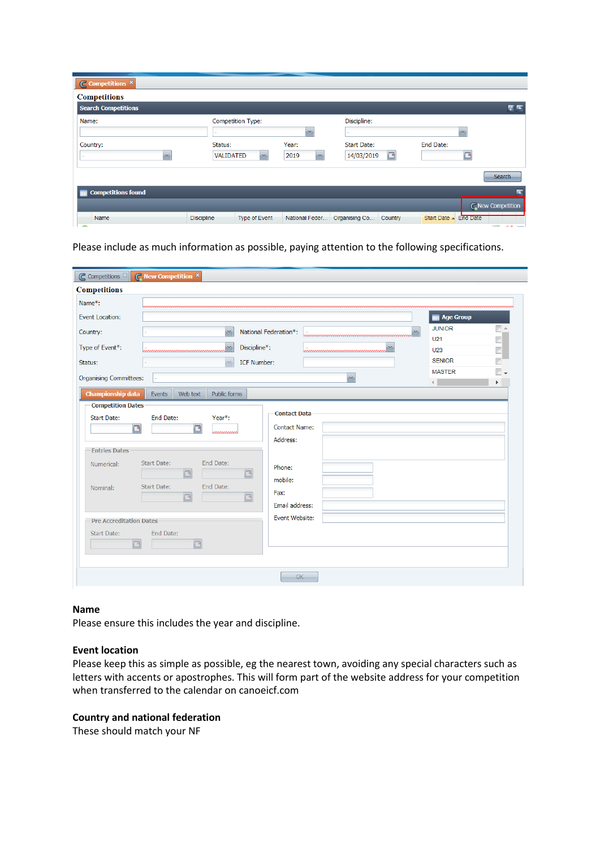| $\overline{\mathsf{C}}$ Competitions $\times$ |                                                         |                               |                                       |                                   |
|-----------------------------------------------|---------------------------------------------------------|-------------------------------|---------------------------------------|-----------------------------------|
| <b>Competitions</b>                           |                                                         |                               |                                       |                                   |
| <b>Search Competitions</b>                    |                                                         |                               |                                       | र ब                               |
| Name:                                         | <b>Competition Type:</b><br>$\overline{\phantom{a}}$    | $\overline{\mathcal{M}}$      | Discipline:<br>$\sim$                 | $\overline{\mathcal{L}}$          |
| Country:<br>$\mathcal{M}$                     | Status:<br><b>VALIDATED</b><br>$\overline{\phantom{a}}$ | Year:<br>2019<br>$\mathbf{v}$ | <b>Start Date:</b><br>14/03/2019<br>P | End Date:<br>್                    |
|                                               |                                                         |                               |                                       | <b>Search</b>                     |
| <b>Competitions found</b>                     |                                                         |                               |                                       |                                   |
|                                               |                                                         |                               |                                       | C New Competition                 |
| Name<br>$\overline{\phantom{a}}$              | <b>Type of Event</b><br><b>Discipline</b>               | National Feder                | Organising Co<br>Country              | Start Date - End Date<br>$\equiv$ |

Please include as much information as possible, paying attention to the following specifications.

| C Competitions &               | <b>C</b> New Competition ×                |                       |    |    |                                |    |
|--------------------------------|-------------------------------------------|-----------------------|----|----|--------------------------------|----|
| <b>Competitions</b>            |                                           |                       |    |    |                                |    |
| Name*:                         |                                           |                       |    |    |                                |    |
| <b>Event Location:</b>         |                                           |                       |    |    | <b>E Age Group</b>             |    |
| Country:                       | $\mathcal{M}$                             | National Federation*: |    | v. | <b>JUNIOR</b>                  |    |
|                                |                                           |                       |    |    | U <sub>21</sub>                |    |
| Type of Event*:                | ,,,,,,,,,,,,,,,,,,,,,,,,,,,,,,,,,,,       | Discipline*:          |    |    | U <sub>23</sub>                |    |
| Status:                        |                                           | <b>ICF Number:</b>    |    |    | <b>SENIOR</b><br><b>MASTER</b> | E. |
| <b>Organising Committees:</b>  |                                           |                       | ×  |    | ∢                              | Þ. |
| <b>Championship data</b>       | Public forms<br>Events<br>Web text        |                       |    |    |                                |    |
| <b>Competition Dates</b>       |                                           |                       |    |    |                                |    |
| <b>Start Date:</b>             | End Date:<br>Year*:                       | <b>Contact Data</b>   |    |    |                                |    |
| $\Box$                         | $\Box$<br>wwwww                           | <b>Contact Name:</b>  |    |    |                                |    |
|                                |                                           | Address:              |    |    |                                |    |
| <b>Entries Dates</b>           |                                           |                       |    |    |                                |    |
| Numerical:                     | End Date:<br><b>Start Date:</b><br>$\Box$ | Phone:<br>$\Box$      |    |    |                                |    |
|                                |                                           | mobile:               |    |    |                                |    |
| Nominal:                       | End Date:<br><b>Start Date:</b><br>同      | Fax:<br>$\Box$        |    |    |                                |    |
|                                |                                           | Email address:        |    |    |                                |    |
| <b>Pre Accreditation Dates</b> |                                           | Event Website:        |    |    |                                |    |
| <b>Start Date:</b>             | End Date:                                 |                       |    |    |                                |    |
| ⊡                              | ⊡                                         |                       |    |    |                                |    |
|                                |                                           |                       |    |    |                                |    |
|                                |                                           |                       |    |    |                                |    |
|                                |                                           |                       | OK |    |                                |    |

#### **Name**

Please ensure this includes the year and discipline.

#### **Event location**

Please keep this as simple as possible, eg the nearest town, avoiding any special characters such as letters with accents or apostrophes. This will form part of the website address for your competition when transferred to the calendar on canoeicf.com

#### **Country and national federation**

These should match your NF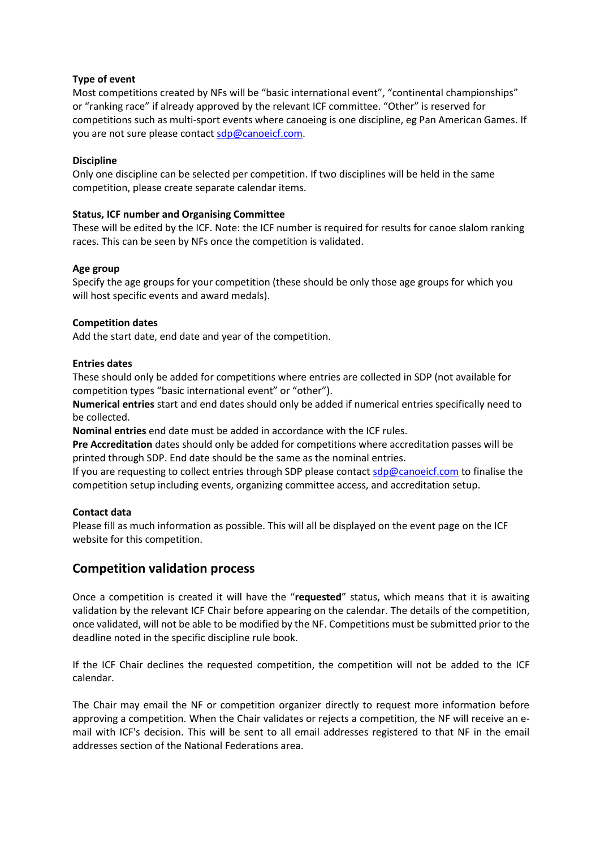## **Type of event**

Most competitions created by NFs will be "basic international event", "continental championships" or "ranking race" if already approved by the relevant ICF committee. "Other" is reserved for competitions such as multi-sport events where canoeing is one discipline, eg Pan American Games. If you are not sure please contact [sdp@canoeicf.com.](mailto:sdp@canoeicf.com)

#### **Discipline**

Only one discipline can be selected per competition. If two disciplines will be held in the same competition, please create separate calendar items.

## **Status, ICF number and Organising Committee**

These will be edited by the ICF. Note: the ICF number is required for results for canoe slalom ranking races. This can be seen by NFs once the competition is validated.

#### **Age group**

Specify the age groups for your competition (these should be only those age groups for which you will host specific events and award medals).

## **Competition dates**

Add the start date, end date and year of the competition.

## **Entries dates**

These should only be added for competitions where entries are collected in SDP (not available for competition types "basic international event" or "other").

**Numerical entries** start and end dates should only be added if numerical entries specifically need to be collected.

**Nominal entries** end date must be added in accordance with the ICF rules.

**Pre Accreditation** dates should only be added for competitions where accreditation passes will be printed through SDP. End date should be the same as the nominal entries.

If you are requesting to collect entries through SDP please contact [sdp@canoeicf.com](mailto:sdp@canoeicf.com) to finalise the competition setup including events, organizing committee access, and accreditation setup.

## **Contact data**

Please fill as much information as possible. This will all be displayed on the event page on the ICF website for this competition.

# **Competition validation process**

Once a competition is created it will have the "**requested**" status, which means that it is awaiting validation by the relevant ICF Chair before appearing on the calendar. The details of the competition, once validated, will not be able to be modified by the NF. Competitions must be submitted prior to the deadline noted in the specific discipline rule book.

If the ICF Chair declines the requested competition, the competition will not be added to the ICF calendar.

The Chair may email the NF or competition organizer directly to request more information before approving a competition. When the Chair validates or rejects a competition, the NF will receive an email with ICF's decision. This will be sent to all email addresses registered to that NF in the email addresses section of the National Federations area.